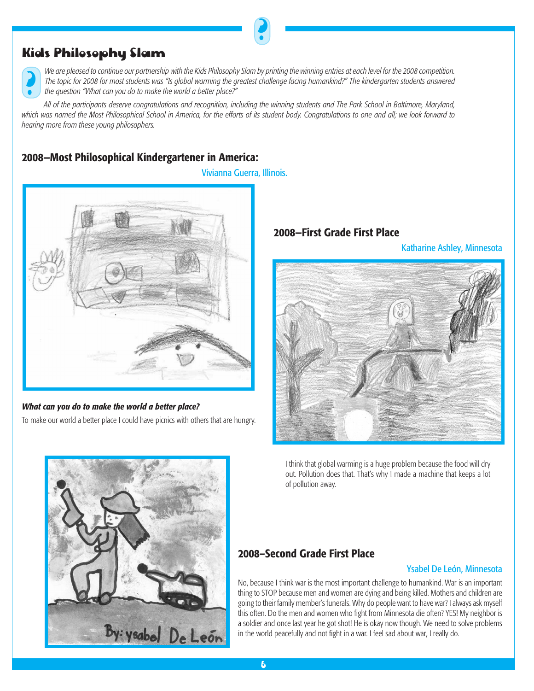# Kids Philosophy Slam

**।**<br>•

We are pleased to continue our partnership with the Kids Philosophy Slam by printing the winning entries at each level for the 2008 competition. *The topic for 2008 for most students was "Is global warming the greatest challenge facing humankind?" The kindergarten students answered the question "What can you do to make the world a better place?"* 

**?** 

*All of the participants deserve congratulations and recognition, including the winning students and The Park School in Baltimore, Maryland, which was named the Most Philosophical School in America, for the efforts of its student body. Congratulations to one and all; we look forward to hearing more from these young philosophers.* 

# **2008—Most Philosophical Kindergartener in America:**

Vivianna Guerra, Illinois.



### *What can you do to make the world a better place?*

To make our world a better place I could have picnics with others that are hungry.

## **2008—First Grade First Place**

Katharine Ashley, Minnesota



I think that global warming is a huge problem because the food will dry out. Pollution does that. That's why I made a machine that keeps a lot of pollution away.



# **2008–Second Grade First Place**

### Ysabel De León, Minnesota

No, because I think war is the most important challenge to humankind. War is an important thing to STOP because men and women are dying and being killed. Mothers and children are going to their family member's funerals. Why do people want to have war? I always ask myself this often. Do the men and women who fight from Minnesota die often? YES! My neighbor is a soldier and once last year he got shot! He is okay now though. We need to solve problems in the world peacefully and not fight in a war. I feel sad about war, I really do.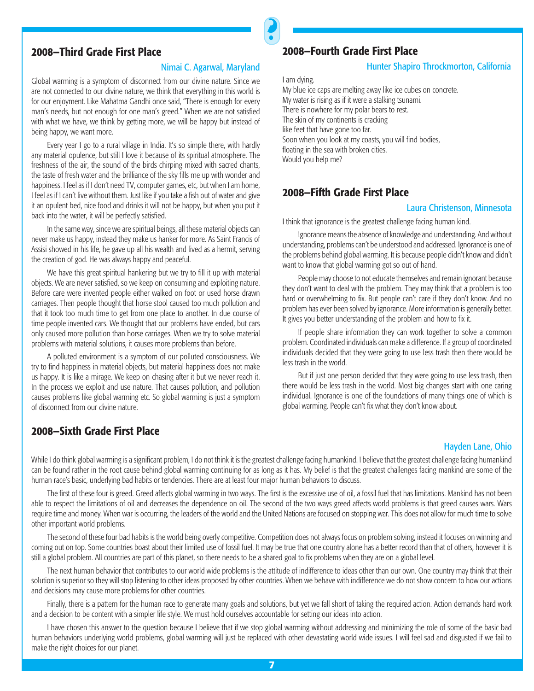## **2008—Third Grade First Place**

#### Nimai C. Agarwal, Maryland

Global warming is a symptom of disconnect from our divine nature. Since we are not connected to our divine nature, we think that everything in this world is for our enjoyment. Like Mahatma Gandhi once said, "There is enough for every man's needs, but not enough for one man's greed." When we are not satisfied with what we have, we think by getting more, we will be happy but instead of being happy, we want more.

Every year I go to a rural village in India. It's so simple there, with hardly any material opulence, but still I love it because of its spiritual atmosphere. The freshness of the air, the sound of the birds chirping mixed with sacred chants, the taste of fresh water and the brilliance of the sky fills me up with wonder and happiness. I feel as if I don't need TV, computer games, etc, but when I am home, I feel as if I can't live without them. Just like if you take a fish out of water and give it an opulent bed, nice food and drinks it will not be happy, but when you put it back into the water, it will be perfectly satisfied.

In the same way, since we are spiritual beings, all these material objects can never make us happy, instead they make us hanker for more. As Saint Francis of Assisi showed in his life, he gave up all his wealth and lived as a hermit, serving the creation of god. He was always happy and peaceful.

We have this great spiritual hankering but we try to fill it up with material objects. We are never satisfied, so we keep on consuming and exploiting nature. Before care were invented people either walked on foot or used horse drawn carriages. Then people thought that horse stool caused too much pollution and that it took too much time to get from one place to another. In due course of time people invented cars. We thought that our problems have ended, but cars only caused more pollution than horse carriages. When we try to solve material problems with material solutions, it causes more problems than before.

A polluted environment is a symptom of our polluted consciousness. We try to find happiness in material objects, but material happiness does not make us happy. It is like a mirage. We keep on chasing after it but we never reach it. In the process we exploit and use nature. That causes pollution, and pollution causes problems like global warming etc. So global warming is just a symptom of disconnect from our divine nature.

### **2008—Sixth Grade First Place**

# **2008—Fourth Grade First Place**

#### Hunter Shapiro Throckmorton, California

I am dying.

**?** 

My blue ice caps are melting away like ice cubes on concrete. My water is rising as if it were a stalking tsunami. There is nowhere for my polar bears to rest. The skin of my continents is cracking like feet that have gone too far. Soon when you look at my coasts, you will find bodies, floating in the sea with broken cities. Would you help me?

### **2008—Fifth Grade First Place**

#### Laura Christenson, Minnesota

I think that ignorance is the greatest challenge facing human kind.

Ignorance means the absence of knowledge and understanding. And without understanding, problems can't be understood and addressed. Ignorance is one of the problems behind global warming. It is because people didn't know and didn't want to know that global warming got so out of hand.

People may choose to not educate themselves and remain ignorant because they don't want to deal with the problem. They may think that a problem is too hard or overwhelming to fix. But people can't care if they don't know. And no problem has ever been solved by ignorance. More information is generally better. It gives you better understanding of the problem and how to fix it.

If people share information they can work together to solve a common problem. Coordinated individuals can make a difference. If a group of coordinated individuals decided that they were going to use less trash then there would be less trash in the world.

But if just one person decided that they were going to use less trash, then there would be less trash in the world. Most big changes start with one caring individual. Ignorance is one of the foundations of many things one of which is global warming. People can't fix what they don't know about.

#### Hayden Lane, Ohio

While I do think global warming is a significant problem, I do not think it is the greatest challenge facing humankind. I believe that the greatest challenge facing humankind can be found rather in the root cause behind global warming continuing for as long as it has. My belief is that the greatest challenges facing mankind are some of the human race's basic, underlying bad habits or tendencies. There are at least four major human behaviors to discuss.

The first of these four is greed. Greed affects global warming in two ways. The first is the excessive use of oil, a fossil fuel that has limitations. Mankind has not been able to respect the limitations of oil and decreases the dependence on oil. The second of the two ways greed affects world problems is that greed causes wars. Wars require time and money. When war is occurring, the leaders of the world and the United Nations are focused on stopping war. This does not allow for much time to solve other important world problems.

The second of these four bad habits is the world being overly competitive. Competition does not always focus on problem solving, instead it focuses on winning and coming out on top. Some countries boast about their limited use of fossil fuel. It may be true that one country alone has a better record than that of others, however it is still a global problem. All countries are part of this planet, so there needs to be a shared goal to fix problems when they are on a global level.

The next human behavior that contributes to our world wide problems is the attitude of indifference to ideas other than our own. One country may think that their solution is superior so they will stop listening to other ideas proposed by other countries. When we behave with indifference we do not show concern to how our actions and decisions may cause more problems for other countries.

Finally, there is a pattern for the human race to generate many goals and solutions, but yet we fall short of taking the required action. Action demands hard work and a decision to be content with a simpler life style. We must hold ourselves accountable for setting our ideas into action.

I have chosen this answer to the question because I believe that if we stop global warming without addressing and minimizing the role of some of the basic bad human behaviors underlying world problems, global warming will just be replaced with other devastating world wide issues. I will feel sad and disgusted if we fail to make the right choices for our planet.